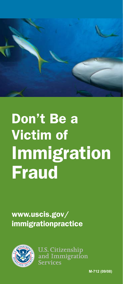

## Don't Be a Victim of **Immigration** Fraud

www.uscis.gov/ immigrationpractice



**U.S. Citizenship** and Immigration **Services** 

**M-712 (09/08)**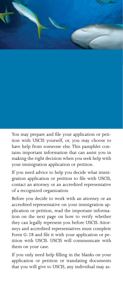

You may prepare and file your application or petition with USCIS yourself, or, you may choose to have help from someone else. This pamphlet contains important information that can assist you in making the right decision when you seek help with your immigration application or petition.

If you need advice to help you decide what immigration application or petition to file with USCIS, contact an attorney or an accredited representative of a recognized organization.

Before you decide to work with an attorney or an accredited representative on your immigration application or petition, read the important information on the next page on how to verify whether they can legally represent you before USCIS. Attorneys and accredited representatives must complete Form G-28 and file it with your application or petition with USCIS. USCIS will communicate with them on your case.

If you only need help filling in the blanks on your application or petition or translating documents that you will give to USCIS, any individual may as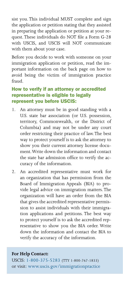sist you. This individual MUST complete and sign the application or petition stating that they assisted in preparing the application or petition at your request. These individuals do NOT file a Form G-28 with USCIS, and USCIS will NOT communicate with them about your case.

Before you decide to work with someone on your immigration application or petition, read the important information on the back page on how to avoid being the victim of immigration practice fraud.

## How to verify if an attorney or accredited representative is eligible to legally represent you before USCIS:

- 1. An attorney must be in good standing with a U.S. state bar association (or U.S. possession, territory, Commonwealth, or the District of Columbia) and may not be under any court order restricting their practice of law. The best way to protect yourself is to ask the attorney to show you their current attorney license document. Write down the information and contact the state bar admission office to verify the accuracy of the information.
- 2. An accredited representative must work for an organization that has permission from the Board of Immigration Appeals (BIA) to provide legal advice on immigration matters. The organization will have an order from the BIA that gives the accredited representative permission to assist individuals with their immigration applications and petitions. The best way to protect yourself is to ask the accredited representative to show you the BIA order. Write down the information and contact the BIA to verify the accuracy of the information.

## **For Help Contact:**

USCIS: 1-800-375-5283 (TTY 1-800-767-1833) or visit: www.uscis.gov/immigrationpractice